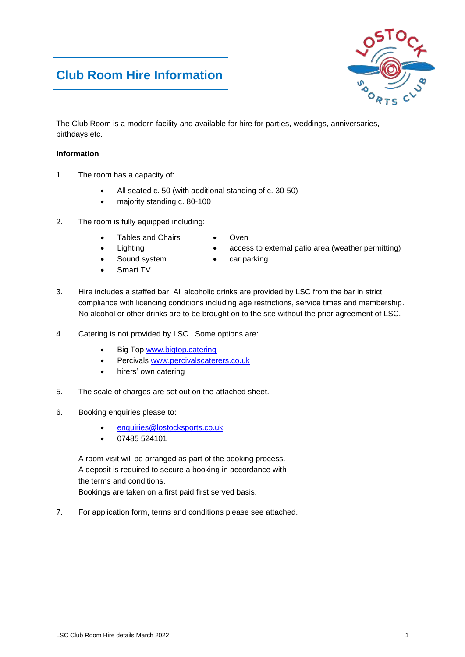## **Club Room Hire Information**

The Club Room is a modern facility and available for hire for parties, weddings, anniversaries, birthdays etc.

#### **Information**

- 1. The room has a capacity of:
	- All seated c. 50 (with additional standing of c. 30-50)
	- majority standing c. 80-100

Tables and Chairs

- 2. The room is fully equipped including:
- Oven
- **Lighting** 
	- Sound system
	- Smart TV
- access to external patio area (weather permitting)
- car parking
- 3. Hire includes a staffed bar. All alcoholic drinks are provided by LSC from the bar in strict compliance with licencing conditions including age restrictions, service times and membership. No alcohol or other drinks are to be brought on to the site without the prior agreement of LSC.
- 4. Catering is not provided by LSC. Some options are:
	- Big Top [www.bigtop.catering](http://www.bigtop.catering/)
	- Percivals [www.percivalscaterers.co.uk](http://www.percivalscaterers.co.uk/)
	- hirers' own catering
- 5. The scale of charges are set out on the attached sheet.
- 6. Booking enquiries please to:
	- [enquiries@lostocksports.co.uk](mailto:enquiries@lostocksports.co.uk)
	- 07485 524101

A room visit will be arranged as part of the booking process. A deposit is required to secure a booking in accordance with the terms and conditions. Bookings are taken on a first paid first served basis.

7. For application form, terms and conditions please see attached.

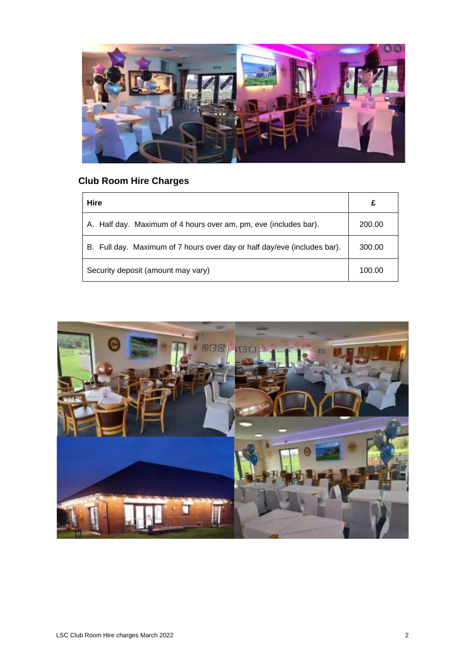

# **Club Room Hire Charges**

| <b>Hire</b>                                                              | £      |
|--------------------------------------------------------------------------|--------|
| A. Half day. Maximum of 4 hours over am, pm, eve (includes bar).         | 200.00 |
| B. Full day. Maximum of 7 hours over day or half day/eve (includes bar). | 300.00 |
| Security deposit (amount may vary)                                       | 100.00 |

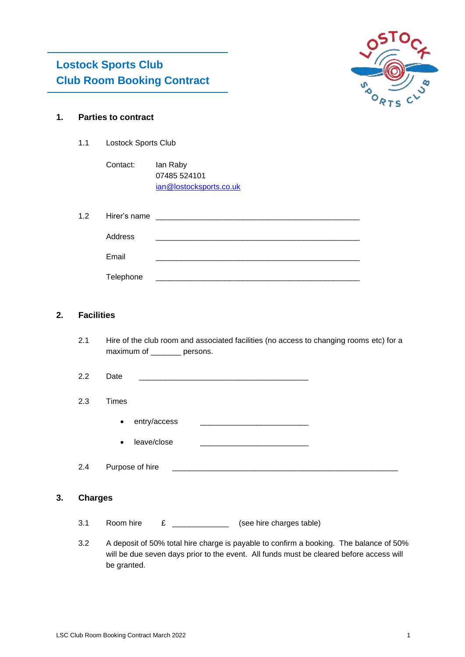

## **1. Parties to contract**

1.1 Lostock Sports Club

| Contact: | lan Raby                |
|----------|-------------------------|
|          | 07485 524101            |
|          | ian@lostocksports.co.uk |

| 1.2 | Hirer's name | <u> 1986 - Andrea Albert III, politik eta politik eta politik eta politik eta politik eta politik eta politik e</u> |
|-----|--------------|---------------------------------------------------------------------------------------------------------------------|
|     | Address      |                                                                                                                     |
|     |              |                                                                                                                     |
|     | Email        |                                                                                                                     |
|     | Telephone    |                                                                                                                     |

## **2. Facilities**

- 2.1 Hire of the club room and associated facilities (no access to changing rooms etc) for a maximum of \_\_\_\_\_\_\_ persons.
- 2.2 Date \_\_\_\_\_\_\_\_\_\_\_\_\_\_\_\_\_\_\_\_\_\_\_\_\_\_\_\_\_\_\_\_\_\_\_\_\_\_\_

### 2.3 Times

- $\bullet$  entry/access  $\qquad \qquad \overline{\qquad \qquad }$
- leave/close

2.4 Purpose of hire \_\_\_\_\_\_\_\_\_\_\_\_\_\_\_\_\_\_\_\_\_\_\_\_\_\_\_\_\_\_\_\_\_\_\_\_\_\_\_\_\_\_\_\_\_\_\_\_\_\_\_\_

### **3. Charges**

- 3.1 Room hire £ \_\_\_\_\_\_\_\_\_\_\_\_\_\_\_ (see hire charges table)
- 3.2 A deposit of 50% total hire charge is payable to confirm a booking. The balance of 50% will be due seven days prior to the event. All funds must be cleared before access will be granted.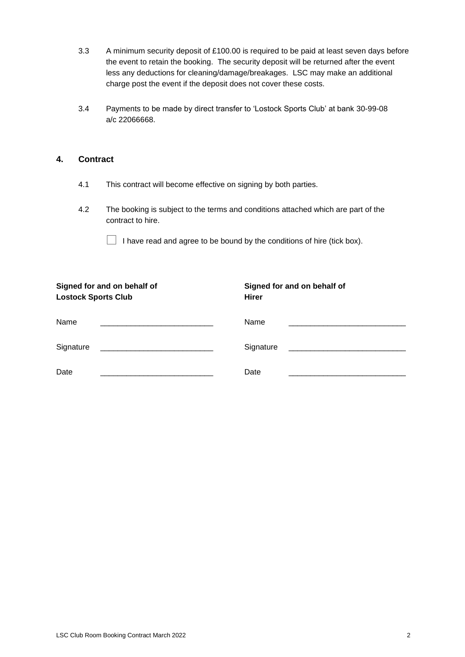- 3.3 A minimum security deposit of £100.00 is required to be paid at least seven days before the event to retain the booking. The security deposit will be returned after the event less any deductions for cleaning/damage/breakages. LSC may make an additional charge post the event if the deposit does not cover these costs.
- 3.4 Payments to be made by direct transfer to 'Lostock Sports Club' at bank 30-99-08 a/c 22066668.

## **4. Contract**

- 4.1 This contract will become effective on signing by both parties.
- 4.2 The booking is subject to the terms and conditions attached which are part of the contract to hire.

 $\Box$  I have read and agree to be bound by the conditions of hire (tick box).

| Signed for and on behalf of                         | Signed for and on behalf of |
|-----------------------------------------------------|-----------------------------|
| <b>Lostock Sports Club</b>                          | <b>Hirer</b>                |
| Name                                                | Name                        |
| Signature                                           | Signature                   |
| <u> 1989 - Andrea Andrews, amerikansk politik (</u> |                             |
| Date                                                | Date                        |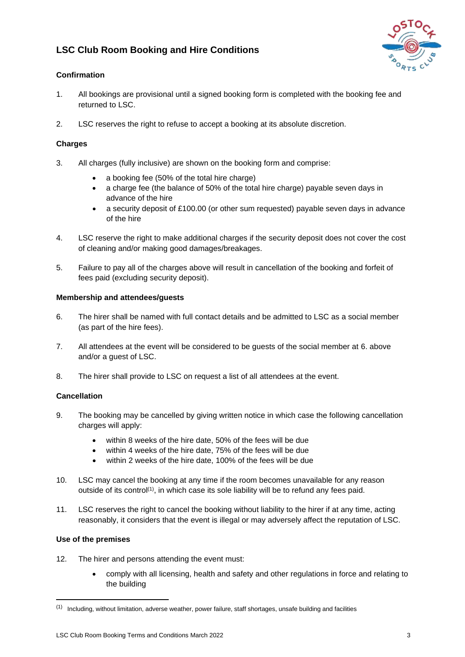## **LSC Club Room Booking and Hire Conditions**



## **Confirmation**

- 1. All bookings are provisional until a signed booking form is completed with the booking fee and returned to LSC.
- 2. LSC reserves the right to refuse to accept a booking at its absolute discretion.

## **Charges**

- 3. All charges (fully inclusive) are shown on the booking form and comprise:
	- a booking fee (50% of the total hire charge)
	- a charge fee (the balance of 50% of the total hire charge) payable seven days in advance of the hire
	- a security deposit of £100.00 (or other sum requested) payable seven days in advance of the hire
- 4. LSC reserve the right to make additional charges if the security deposit does not cover the cost of cleaning and/or making good damages/breakages.
- 5. Failure to pay all of the charges above will result in cancellation of the booking and forfeit of fees paid (excluding security deposit).

## **Membership and attendees/guests**

- 6. The hirer shall be named with full contact details and be admitted to LSC as a social member (as part of the hire fees).
- 7. All attendees at the event will be considered to be guests of the social member at 6. above and/or a guest of LSC.
- 8. The hirer shall provide to LSC on request a list of all attendees at the event.

## **Cancellation**

- 9. The booking may be cancelled by giving written notice in which case the following cancellation charges will apply:
	- within 8 weeks of the hire date, 50% of the fees will be due
	- within 4 weeks of the hire date, 75% of the fees will be due
	- within 2 weeks of the hire date, 100% of the fees will be due
- 10. LSC may cancel the booking at any time if the room becomes unavailable for any reason outside of its control<sup>(1)</sup>, in which case its sole liability will be to refund any fees paid.
- 11. LSC reserves the right to cancel the booking without liability to the hirer if at any time, acting reasonably, it considers that the event is illegal or may adversely affect the reputation of LSC.

#### **Use of the premises**

- 12. The hirer and persons attending the event must:
	- comply with all licensing, health and safety and other regulations in force and relating to the building

<sup>(1)</sup> Including, without limitation, adverse weather, power failure, staff shortages, unsafe building and facilities